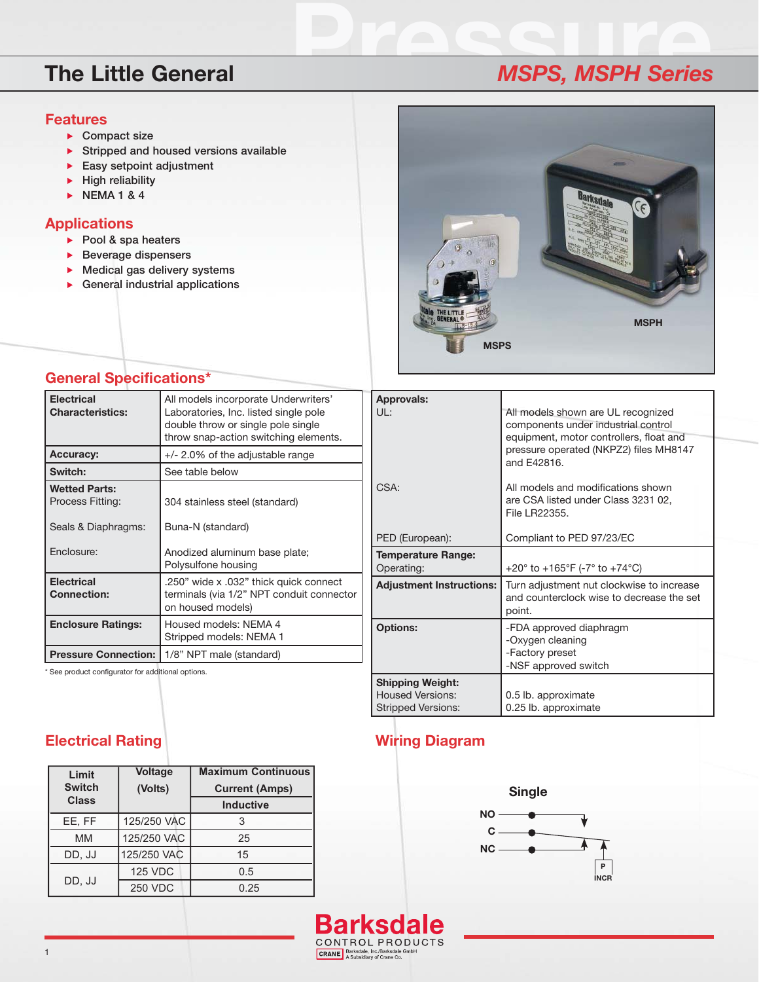### **Features**

- **Compact size**
- **Stripped and housed versions available**
- **Easy setpoint adjustment**
- **High reliability**
- **NEMA 1 & 4**

### **Applications**

- **Pool & spa heaters**
- **Beverage dispensers**
- **Medical gas delivery systems**
- **General industrial applications**



## **General Specifications\***

| <b>Electrical</b><br><b>Characteristics:</b> | All models incorporate Underwriters'<br>Laboratories, Inc. listed single pole<br>double throw or single pole single<br>throw snap-action switching elements. |  |
|----------------------------------------------|--------------------------------------------------------------------------------------------------------------------------------------------------------------|--|
| <b>Accuracy:</b>                             | $+/- 2.0\%$ of the adjustable range                                                                                                                          |  |
| Switch:                                      | See table below                                                                                                                                              |  |
| <b>Wetted Parts:</b><br>Process Fitting:     | 304 stainless steel (standard)                                                                                                                               |  |
| Seals & Diaphragms:                          | Buna-N (standard)                                                                                                                                            |  |
| Enclosure:                                   | Anodized aluminum base plate;<br>Polysulfone housing                                                                                                         |  |
| <b>Electrical</b><br><b>Connection:</b>      | .250" wide x .032" thick quick connect<br>terminals (via 1/2" NPT conduit connector<br>on housed models)                                                     |  |
| <b>Enclosure Ratings:</b>                    | Housed models: NEMA 4<br>Stripped models: NEMA 1                                                                                                             |  |
| <b>Pressure Connection:</b>                  | 1/8" NPT male (standard)                                                                                                                                     |  |

\* See product configurator for additional options.

| <b>Approvals:</b>                                                               |                                                                                                                                                                               |  |
|---------------------------------------------------------------------------------|-------------------------------------------------------------------------------------------------------------------------------------------------------------------------------|--|
| UL:                                                                             | All models shown are UL recognized<br>components under industrial control<br>equipment, motor controllers, float and<br>pressure operated (NKPZ2) files MH8147<br>and F42816. |  |
| CSA:                                                                            | All models and modifications shown<br>are CSA listed under Class 3231 02,<br>File LR22355.                                                                                    |  |
| PED (European):                                                                 | Compliant to PED 97/23/EC                                                                                                                                                     |  |
| <b>Temperature Range:</b><br>Operating:                                         | +20 $^{\circ}$ to +165 $^{\circ}$ F (-7 $^{\circ}$ to +74 $^{\circ}$ C)                                                                                                       |  |
| <b>Adjustment Instructions:</b>                                                 | Turn adjustment nut clockwise to increase<br>and counterclock wise to decrease the set<br>point.                                                                              |  |
| <b>Options:</b>                                                                 | -FDA approved diaphragm<br>-Oxygen cleaning<br>-Factory preset<br>-NSF approved switch                                                                                        |  |
| <b>Shipping Weight:</b><br><b>Housed Versions:</b><br><b>Stripped Versions:</b> | 0.5 lb. approximate<br>0.25 lb. approximate                                                                                                                                   |  |

### **Electrical Rating**

| Limit<br><b>Switch</b> | <b>Voltage</b><br>(Volts) | <b>Maximum Continuous</b><br><b>Current (Amps)</b> |
|------------------------|---------------------------|----------------------------------------------------|
| <b>Class</b>           |                           | <b>Inductive</b>                                   |
| EE.FF                  | 125/250 VAC               |                                                    |
| <b>MM</b>              | 125/250 VAC               | 25                                                 |
| DD, JJ                 | 125/250 VAC               | 15                                                 |
| DD, JJ                 | <b>125 VDC</b>            | 0.5                                                |
|                        | <b>250 VDC</b>            | 0.25                                               |

# **Wiring Diagram**



## **Barksdale** CONTROL PRODUCTS

### CRANE Barksdale, Inc./Barksdale GmbH<br>A Subsidiary of Crane Co.

# **Pressure The Little General** *MSPS, MSPH Series*